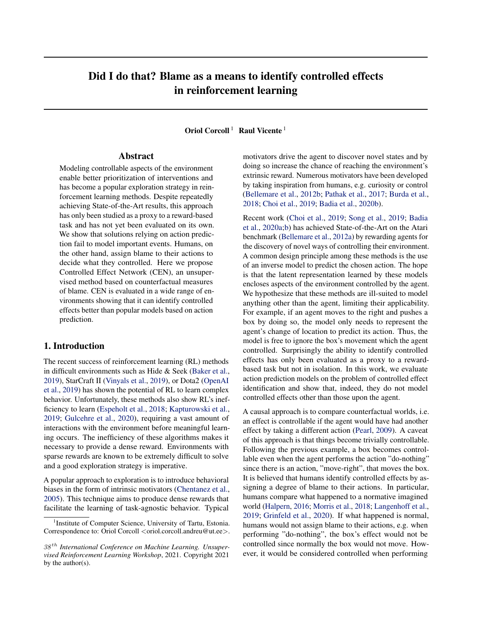# Did I do that? Blame as a means to identify controlled effects in reinforcement learning

Oriol Corcoll<sup>1</sup> Raul Vicente<sup>1</sup>

# Abstract

Modeling controllable aspects of the environment enable better prioritization of interventions and has become a popular exploration strategy in reinforcement learning methods. Despite repeatedly achieving State-of-the-Art results, this approach has only been studied as a proxy to a reward-based task and has not yet been evaluated on its own. We show that solutions relying on action prediction fail to model important events. Humans, on the other hand, assign blame to their actions to decide what they controlled. Here we propose Controlled Effect Network (CEN), an unsupervised method based on counterfactual measures of blame. CEN is evaluated in a wide range of environments showing that it can identify controlled effects better than popular models based on action prediction.

# 1. Introduction

The recent success of reinforcement learning (RL) methods in difficult environments such as Hide & Seek [\(Baker et al.,](#page-7-0) [2019\)](#page-7-0), StarCraft II [\(Vinyals et al.,](#page-9-0) [2019\)](#page-9-0), or Dota2 [\(OpenAI](#page-8-0) [et al.,](#page-8-0) [2019\)](#page-8-0) has shown the potential of RL to learn complex behavior. Unfortunately, these methods also show RL's inefficiency to learn [\(Espeholt et al.,](#page-7-0) [2018;](#page-7-0) [Kapturowski et al.,](#page-8-0) [2019;](#page-8-0) [Gulcehre et al.,](#page-8-0) [2020\)](#page-8-0), requiring a vast amount of interactions with the environment before meaningful learning occurs. The inefficiency of these algorithms makes it necessary to provide a dense reward. Environments with sparse rewards are known to be extremely difficult to solve and a good exploration strategy is imperative.

A popular approach to exploration is to introduce behavioral biases in the form of intrinsic motivators [\(Chentanez et al.,](#page-7-0) [2005\)](#page-7-0). This technique aims to produce dense rewards that facilitate the learning of task-agnostic behavior. Typical

motivators drive the agent to discover novel states and by doing so increase the chance of reaching the environment's extrinsic reward. Numerous motivators have been developed by taking inspiration from humans, e.g. curiosity or control [\(Bellemare et al.,](#page-7-0) [2012b;](#page-7-0) [Pathak et al.,](#page-8-0) [2017;](#page-8-0) [Burda et al.,](#page-7-0) [2018;](#page-7-0) [Choi et al.,](#page-7-0) [2019;](#page-7-0) [Badia et al.,](#page-7-0) [2020b\)](#page-7-0).

Recent work [\(Choi et al.,](#page-7-0) [2019;](#page-7-0) [Song et al.,](#page-9-0) [2019;](#page-9-0) [Badia](#page-7-0) [et al.,](#page-7-0) [2020a;b\)](#page-7-0) has achieved State-of-the-Art on the Atari benchmark [\(Bellemare et al.,](#page-7-0) [2012a\)](#page-7-0) by rewarding agents for the discovery of novel ways of controlling their environment. A common design principle among these methods is the use of an inverse model to predict the chosen action. The hope is that the latent representation learned by these models encloses aspects of the environment controlled by the agent. We hypothesize that these methods are ill-suited to model anything other than the agent, limiting their applicability. For example, if an agent moves to the right and pushes a box by doing so, the model only needs to represent the agent's change of location to predict its action. Thus, the model is free to ignore the box's movement which the agent controlled. Surprisingly the ability to identify controlled effects has only been evaluated as a proxy to a rewardbased task but not in isolation. In this work, we evaluate action prediction models on the problem of controlled effect identification and show that, indeed, they do not model controlled effects other than those upon the agent.

A causal approach is to compare counterfactual worlds, i.e. an effect is controllable if the agent would have had another effect by taking a different action [\(Pearl,](#page-8-0) [2009\)](#page-8-0). A caveat of this approach is that things become trivially controllable. Following the previous example, a box becomes controllable even when the agent performs the action "do-nothing" since there is an action, "move-right", that moves the box. It is believed that humans identify controlled effects by assigning a degree of blame to their actions. In particular, humans compare what happened to a normative imagined world [\(Halpern,](#page-8-0) [2016;](#page-8-0) [Morris et al.,](#page-8-0) [2018;](#page-8-0) [Langenhoff et al.,](#page-8-0) [2019;](#page-8-0) [Grinfeld et al.,](#page-8-0) [2020\)](#page-8-0). If what happened is normal, humans would not assign blame to their actions, e.g. when performing "do-nothing", the box's effect would not be controlled since normally the box would not move. However, it would be considered controlled when performing

<sup>&</sup>lt;sup>1</sup> Institute of Computer Science, University of Tartu, Estonia. Correspondence to: Oriol Corcoll <oriol.corcoll.andreu@ut.ee>.

<sup>38</sup> th *International Conference on Machine Learning. Unsupervised Reinforcement Learning Workshop*, 2021. Copyright 2021 by the author(s).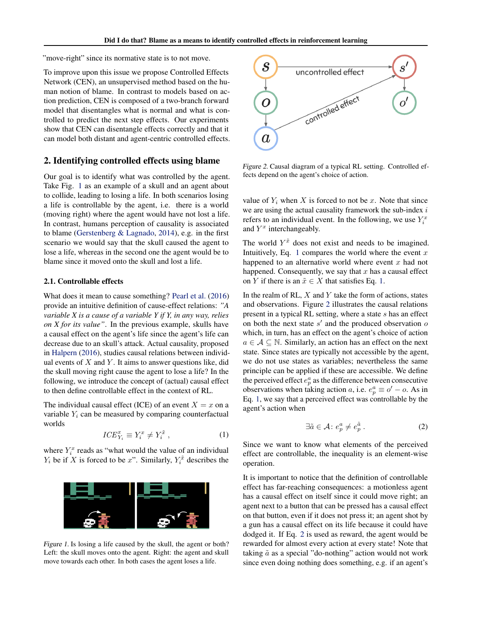<span id="page-1-0"></span>"move-right" since its normative state is to not move.

To improve upon this issue we propose Controlled Effects Network (CEN), an unsupervised method based on the human notion of blame. In contrast to models based on action prediction, CEN is composed of a two-branch forward model that disentangles what is normal and what is controlled to predict the next step effects. Our experiments show that CEN can disentangle effects correctly and that it can model both distant and agent-centric controlled effects.

# 2. Identifying controlled effects using blame

Our goal is to identify what was controlled by the agent. Take Fig. 1 as an example of a skull and an agent about to collide, leading to losing a life. In both scenarios losing a life is controllable by the agent, i.e. there is a world (moving right) where the agent would have not lost a life. In contrast, humans perception of causality is associated to blame [\(Gerstenberg & Lagnado,](#page-7-0) [2014\)](#page-7-0), e.g. in the first scenario we would say that the skull caused the agent to lose a life, whereas in the second one the agent would be to blame since it moved onto the skull and lost a life.

### 2.1. Controllable effects

What does it mean to cause something? [Pearl et al.](#page-9-0) [\(2016\)](#page-9-0) provide an intuitive definition of cause-effect relations: *"A variable X is a cause of a variable Y if Y, in any way, relies on X for its value"*. In the previous example, skulls have a causal effect on the agent's life since the agent's life can decrease due to an skull's attack. Actual causality, proposed in [Halpern](#page-8-0) [\(2016\)](#page-8-0), studies causal relations between individual events of  $X$  and  $Y$ . It aims to answer questions like, did the skull moving right cause the agent to lose a life? In the following, we introduce the concept of (actual) causal effect to then define controllable effect in the context of RL.

The individual causal effect (ICE) of an event  $X = x$  on a variable  $Y_i$  can be measured by comparing counterfactual worlds

$$
ICE_{Y_i}^x \equiv Y_i^x \neq Y_i^{\tilde{x}}, \qquad (1)
$$

where  $Y_i^x$  reads as "what would the value of an individual  $Y_i$  be if X is forced to be x". Similarly,  $Y_i^{\tilde{x}}$  describes the



Figure 1. Is losing a life caused by the skull, the agent or both? Left: the skull moves onto the agent. Right: the agent and skull move towards each other. In both cases the agent loses a life.



Figure 2. Causal diagram of a typical RL setting. Controlled effects depend on the agent's choice of action.

value of  $Y_i$  when X is forced to not be x. Note that since we are using the actual causality framework the sub-index  $i$ refers to an individual event. In the following, we use  $Y_i^x$ and  $Y^x$  interchangeably.

The world  $Y^{\tilde{x}}$  does not exist and needs to be imagined. Intuitively, Eq. 1 compares the world where the event  $x$ happened to an alternative world where event  $x$  had not happened. Consequently, we say that  $x$  has a causal effect on Y if there is an  $\tilde{x} \in X$  that satisfies Eq. 1.

In the realm of RL,  $X$  and  $Y$  take the form of actions, states and observations. Figure 2 illustrates the causal relations present in a typical RL setting, where a state s has an effect on both the next state  $s'$  and the produced observation  $o$ which, in turn, has an effect on the agent's choice of action  $a \in \mathcal{A} \subseteq \mathbb{N}$ . Similarly, an action has an effect on the next state. Since states are typically not accessible by the agent, we do not use states as variables; nevertheless the same principle can be applied if these are accessible. We define the perceived effect  $e_p^a$  as the difference between consecutive observations when taking action a, i.e.  $e_p^a \equiv o' - o$ . As in Eq. 1, we say that a perceived effect was controllable by the agent's action when

$$
\exists \tilde{a} \in \mathcal{A} \colon e_p^a \neq e_p^{\tilde{a}} \,. \tag{2}
$$

Since we want to know what elements of the perceived effect are controllable, the inequality is an element-wise operation.

It is important to notice that the definition of controllable effect has far-reaching consequences: a motionless agent has a causal effect on itself since it could move right; an agent next to a button that can be pressed has a causal effect on that button, even if it does not press it; an agent shot by a gun has a causal effect on its life because it could have dodged it. If Eq. 2 is used as reward, the agent would be rewarded for almost every action at every state! Note that taking  $\tilde{a}$  as a special "do-nothing" action would not work since even doing nothing does something, e.g. if an agent's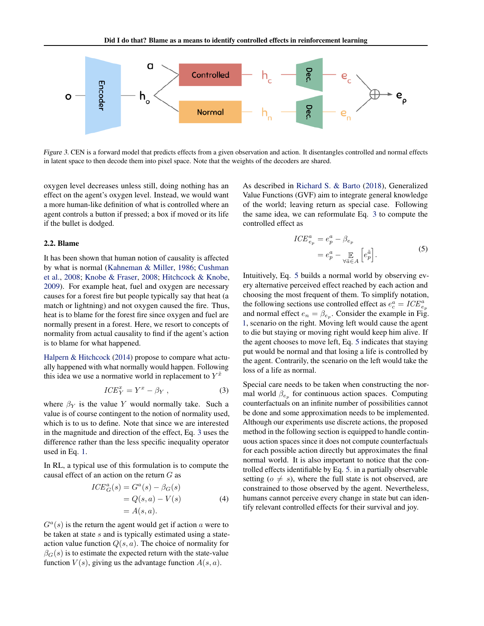<span id="page-2-0"></span>

Figure 3. CEN is a forward model that predicts effects from a given observation and action. It disentangles controlled and normal effects in latent space to then decode them into pixel space. Note that the weights of the decoders are shared.

oxygen level decreases unless still, doing nothing has an effect on the agent's oxygen level. Instead, we would want a more human-like definition of what is controlled where an agent controls a button if pressed; a box if moved or its life if the bullet is dodged.

#### 2.2. Blame

It has been shown that human notion of causality is affected by what is normal [\(Kahneman & Miller,](#page-8-0) [1986;](#page-8-0) [Cushman](#page-7-0) [et al.,](#page-7-0) [2008;](#page-7-0) [Knobe & Fraser,](#page-8-0) [2008;](#page-8-0) [Hitchcock & Knobe,](#page-8-0) [2009\)](#page-8-0). For example heat, fuel and oxygen are necessary causes for a forest fire but people typically say that heat (a match or lightning) and not oxygen caused the fire. Thus, heat is to blame for the forest fire since oxygen and fuel are normally present in a forest. Here, we resort to concepts of normality from actual causality to find if the agent's action is to blame for what happened.

[Halpern & Hitchcock](#page-8-0) [\(2014\)](#page-8-0) propose to compare what actually happened with what normally would happen. Following this idea we use a normative world in replacement to  $Y^{\tilde{x}}$ 

$$
ICE_Y^x = Y^x - \beta_Y , \qquad (3)
$$

where  $\beta_Y$  is the value Y would normally take. Such a value is of course contingent to the notion of normality used, which is to us to define. Note that since we are interested in the magnitude and direction of the effect, Eq. 3 uses the difference rather than the less specific inequality operator used in Eq. [1.](#page-1-0)

In RL, a typical use of this formulation is to compute the causal effect of an action on the return G as

$$
ICE_G^a(s) = G^a(s) - \beta_G(s)
$$
  
=  $Q(s, a) - V(s)$   
=  $A(s, a)$ . (4)

 $G<sup>a</sup>(s)$  is the return the agent would get if action a were to be taken at state  $s$  and is typically estimated using a stateaction value function  $Q(s, a)$ . The choice of normality for  $\beta_G(s)$  is to estimate the expected return with the state-value function  $V(s)$ , giving us the advantage function  $A(s, a)$ .

As described in [Richard S. & Barto](#page-9-0) [\(2018\)](#page-9-0), Generalized Value Functions (GVF) aim to integrate general knowledge of the world; leaving return as special case. Following the same idea, we can reformulate Eq. 3 to compute the controlled effect as

$$
ICE_{e_p}^a = e_p^a - \beta_{e_p}
$$
  
=  $e_p^a - \mathop{\mathbb{E}}_{\forall \tilde{a} \in A} \left[ e_p^{\tilde{a}} \right].$  (5)

Intuitively, Eq. 5 builds a normal world by observing every alternative perceived effect reached by each action and choosing the most frequent of them. To simplify notation, the following sections use controlled effect as  $e_e^{\dot{a}} = ICE_{e_p}^a$ and normal effect  $e_n = \beta_{e_p}$ . Consider the example in Fig. [1,](#page-1-0) scenario on the right. Moving left would cause the agent to die but staying or moving right would keep him alive. If the agent chooses to move left, Eq. 5 indicates that staying put would be normal and that losing a life is controlled by the agent. Contrarily, the scenario on the left would take the loss of a life as normal.

Special care needs to be taken when constructing the normal world  $\beta_{e_p}$  for continuous action spaces. Computing counterfactuals on an infinite number of possibilities cannot be done and some approximation needs to be implemented. Although our experiments use discrete actions, the proposed method in the following section is equipped to handle continuous action spaces since it does not compute counterfactuals for each possible action directly but approximates the final normal world. It is also important to notice that the controlled effects identifiable by Eq. 5. in a partially observable setting ( $o \neq s$ ), where the full state is not observed, are constrained to those observed by the agent. Nevertheless, humans cannot perceive every change in state but can identify relevant controlled effects for their survival and joy.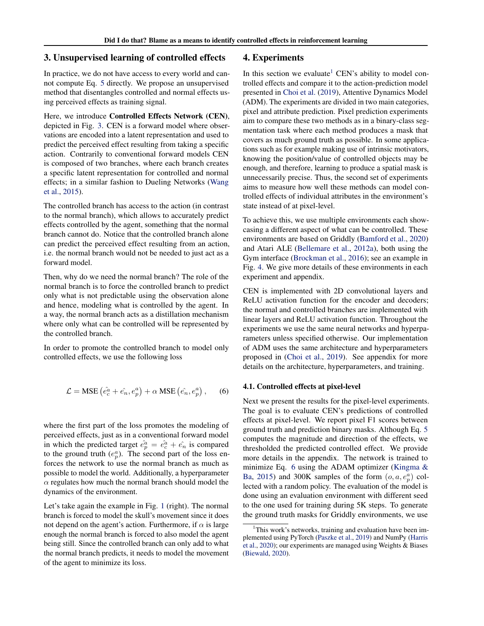# 3. Unsupervised learning of controlled effects

In practice, we do not have access to every world and cannot compute Eq. [5](#page-2-0) directly. We propose an unsupervised method that disentangles controlled and normal effects using perceived effects as training signal.

Here, we introduce Controlled Effects Network (CEN), depicted in Fig. [3.](#page-2-0) CEN is a forward model where observations are encoded into a latent representation and used to predict the perceived effect resulting from taking a specific action. Contrarily to conventional forward models CEN is composed of two branches, where each branch creates a specific latent representation for controlled and normal effects; in a similar fashion to Dueling Networks [\(Wang](#page-9-0) [et al.,](#page-9-0) [2015\)](#page-9-0).

The controlled branch has access to the action (in contrast to the normal branch), which allows to accurately predict effects controlled by the agent, something that the normal branch cannot do. Notice that the controlled branch alone can predict the perceived effect resulting from an action, i.e. the normal branch would not be needed to just act as a forward model.

Then, why do we need the normal branch? The role of the normal branch is to force the controlled branch to predict only what is not predictable using the observation alone and hence, modeling what is controlled by the agent. In a way, the normal branch acts as a distillation mechanism where only what can be controlled will be represented by the controlled branch.

In order to promote the controlled branch to model only controlled effects, we use the following loss

$$
\mathcal{L} = \text{MSE} \left( \hat{e}_c^a + \hat{e}_n, e_p^a \right) + \alpha \text{MSE} \left( \hat{e}_n, e_p^a \right), \quad (6)
$$

where the first part of the loss promotes the modeling of perceived effects, just as in a conventional forward model in which the predicted target  $\hat{e}_p^{\hat{a}} = \hat{e}_c^{\hat{a}} + \hat{e}_n$  is compared to the ground truth  $(e_p^a)$ . The second part of the loss enforces the network to use the normal branch as much as possible to model the world. Additionally, a hyperparameter  $\alpha$  regulates how much the normal branch should model the dynamics of the environment.

Let's take again the example in Fig. [1](#page-1-0) (right). The normal branch is forced to model the skull's movement since it does not depend on the agent's action. Furthermore, if  $\alpha$  is large enough the normal branch is forced to also model the agent being still. Since the controlled branch can only add to what the normal branch predicts, it needs to model the movement of the agent to minimize its loss.

## 4. Experiments

In this section we evaluate<sup>1</sup> CEN's ability to model controlled effects and compare it to the action-prediction model presented in [Choi et al.](#page-7-0) [\(2019\)](#page-7-0), Attentive Dynamics Model (ADM). The experiments are divided in two main categories, pixel and attribute prediction. Pixel prediction experiments aim to compare these two methods as in a binary-class segmentation task where each method produces a mask that covers as much ground truth as possible. In some applications such as for example making use of intrinsic motivators, knowing the position/value of controlled objects may be enough, and therefore, learning to produce a spatial mask is unnecessarily precise. Thus, the second set of experiments aims to measure how well these methods can model controlled effects of individual attributes in the environment's state instead of at pixel-level.

To achieve this, we use multiple environments each showcasing a different aspect of what can be controlled. These environments are based on Griddly [\(Bamford et al.,](#page-7-0) [2020\)](#page-7-0) and Atari ALE [\(Bellemare et al.,](#page-7-0) [2012a\)](#page-7-0), both using the Gym interface [\(Brockman et al.,](#page-7-0) [2016\)](#page-7-0); see an example in Fig. [4.](#page-4-0) We give more details of these environments in each experiment and appendix.

CEN is implemented with 2D convolutional layers and ReLU activation function for the encoder and decoders; the normal and controlled branches are implemented with linear layers and ReLU activation function. Throughout the experiments we use the same neural networks and hyperparameters unless specified otherwise. Our implementation of ADM uses the same architecture and hyperparameters proposed in [\(Choi et al.,](#page-7-0) [2019\)](#page-7-0). See appendix for more details on the architecture, hyperparameters, and training.

## 4.1. Controlled effects at pixel-level

Next we present the results for the pixel-level experiments. The goal is to evaluate CEN's predictions of controlled effects at pixel-level. We report pixel F1 scores between ground truth and prediction binary masks. Although Eq. [5](#page-2-0) computes the magnitude and direction of the effects, we thresholded the predicted controlled effect. We provide more details in the appendix. The network is trained to minimize Eq. 6 using the ADAM optimizer [\(Kingma &](#page-8-0) [Ba,](#page-8-0) [2015\)](#page-8-0) and 300K samples of the form  $(o, a, e_p^a)$  collected with a random policy. The evaluation of the model is done using an evaluation environment with different seed to the one used for training during 5K steps. To generate the ground truth masks for Griddly environments, we use

<sup>&</sup>lt;sup>1</sup>This work's networks, training and evaluation have been implemented using PyTorch [\(Paszke et al.,](#page-8-0) [2019\)](#page-8-0) and NumPy [\(Harris](#page-8-0) [et al.,](#page-8-0) [2020\)](#page-8-0); our experiments are managed using Weights & Biases [\(Biewald,](#page-7-0) [2020\)](#page-7-0).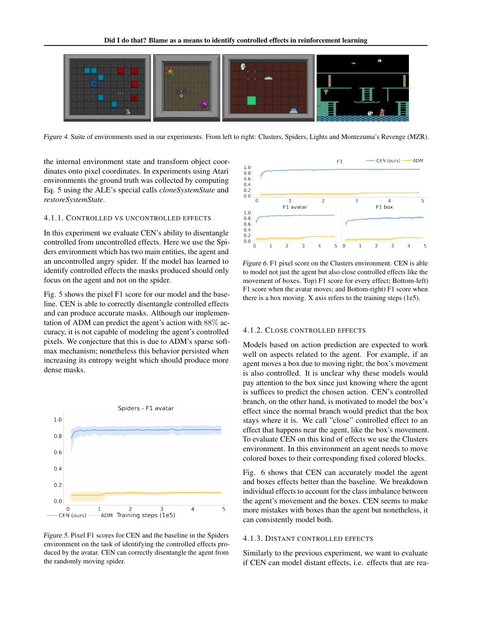<span id="page-4-0"></span>

Figure 4. Suite of environments used in our experiments. From left to right: Clusters, Spiders, Lights and Montezuma's Revenge (MZR).

the internal environment state and transform object coordinates onto pixel coordinates. In experiments using Atari environments the ground truth was collected by computing Eq. [5](#page-2-0) using the ALE's special calls *cloneSystemState* and *restoreSystemState*.

## 4.1.1. CONTROLLED VS UNCONTROLLED EFFECTS

In this experiment we evaluate CEN's ability to disentangle controlled from uncontrolled effects. Here we use the Spiders environment which has two main entities, the agent and an uncontrolled angry spider. If the model has learned to identify controlled effects the masks produced should only focus on the agent and not on the spider.

Fig. 5 shows the pixel F1 score for our model and the baseline. CEN is able to correctly disentangle controlled effects and can produce accurate masks. Although our implementation of ADM can predict the agent's action with 88% accuracy, it is not capable of modeling the agent's controlled pixels. We conjecture that this is due to ADM's sparse softmax mechanism; nonetheless this behavior persisted when increasing its entropy weight which should produce more dense masks.



Figure 5. Pixel F1 scores for CEN and the baseline in the Spiders environment on the task of identifying the controlled effects produced by the avatar. CEN can correctly disentangle the agent from the randomly moving spider.



Figure 6. F1 pixel score on the Clusters environment. CEN is able to model not just the agent but also close controlled effects like the movement of boxes. Top) F1 score for every effect; Bottom-left) F1 score when the avatar moves; and Bottom-right) F1 score when there is a box moving. X axis refers to the training steps (1e5).

#### 4.1.2. CLOSE CONTROLLED EFFECTS

Models based on action prediction are expected to work well on aspects related to the agent. For example, if an agent moves a box due to moving right; the box's movement is also controlled. It is unclear why these models would pay attention to the box since just knowing where the agent is suffices to predict the chosen action. CEN's controlled branch, on the other hand, is motivated to model the box's effect since the normal branch would predict that the box stays where it is. We call "close" controlled effect to an effect that happens near the agent, like the box's movement. To evaluate CEN on this kind of effects we use the Clusters environment. In this environment an agent needs to move colored boxes to their corresponding fixed colored blocks.

Fig. 6 shows that CEN can accurately model the agent and boxes effects better than the baseline. We breakdown individual effects to account for the class imbalance between the agent's movement and the boxes. CEN seems to make more mistakes with boxes than the agent but nonetheless, it can consistently model both.

#### 4.1.3. DISTANT CONTROLLED EFFECTS

Similarly to the previous experiment, we want to evaluate if CEN can model distant effects, i.e. effects that are rea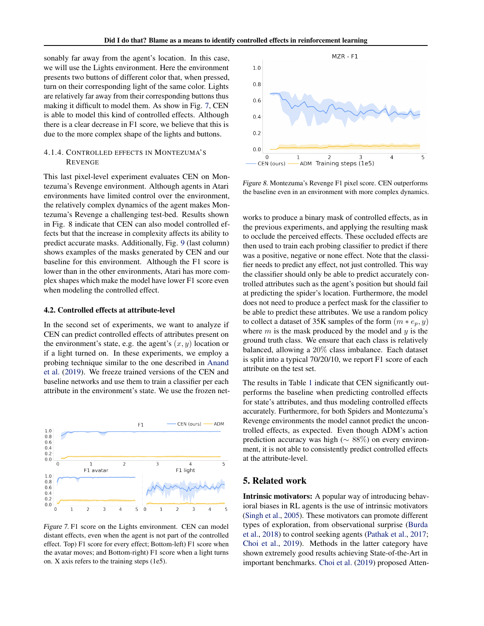sonably far away from the agent's location. In this case, we will use the Lights environment. Here the environment presents two buttons of different color that, when pressed, turn on their corresponding light of the same color. Lights are relatively far away from their corresponding buttons thus making it difficult to model them. As show in Fig. 7, CEN is able to model this kind of controlled effects. Although there is a clear decrease in F1 score, we believe that this is due to the more complex shape of the lights and buttons.

# 4.1.4. CONTROLLED EFFECTS IN MONTEZUMA'S REVENGE

This last pixel-level experiment evaluates CEN on Montezuma's Revenge environment. Although agents in Atari environments have limited control over the environment, the relatively complex dynamics of the agent makes Montezuma's Revenge a challenging test-bed. Results shown in Fig. 8 indicate that CEN can also model controlled effects but that the increase in complexity affects its ability to predict accurate masks. Additionally, Fig. [9](#page-6-0) (last column) shows examples of the masks generated by CEN and our baseline for this environment. Although the F1 score is lower than in the other environments, Atari has more complex shapes which make the model have lower F1 score even when modeling the controlled effect.

#### 4.2. Controlled effects at attribute-level

In the second set of experiments, we want to analyze if CEN can predict controlled effects of attributes present on the environment's state, e.g. the agent's  $(x, y)$  location or if a light turned on. In these experiments, we employ a probing technique similar to the one described in [Anand](#page-7-0) [et al.](#page-7-0) [\(2019\)](#page-7-0). We freeze trained versions of the CEN and baseline networks and use them to train a classifier per each attribute in the environment's state. We use the frozen net-



Figure 7. F1 score on the Lights environment. CEN can model distant effects, even when the agent is not part of the controlled effect. Top) F1 score for every effect; Bottom-left) F1 score when the avatar moves; and Bottom-right) F1 score when a light turns on. X axis refers to the training steps (1e5).



Figure 8. Montezuma's Revenge F1 pixel score. CEN outperforms the baseline even in an environment with more complex dynamics.

works to produce a binary mask of controlled effects, as in the previous experiments, and applying the resulting mask to occlude the perceived effects. These occluded effects are then used to train each probing classifier to predict if there was a positive, negative or none effect. Note that the classifier needs to predict any effect, not just controlled. This way the classifier should only be able to predict accurately controlled attributes such as the agent's position but should fail at predicting the spider's location. Furthermore, the model does not need to produce a perfect mask for the classifier to be able to predict these attributes. We use a random policy to collect a dataset of 35K samples of the form  $(m * e_p, y)$ where  $m$  is the mask produced by the model and  $y$  is the ground truth class. We ensure that each class is relatively balanced, allowing a 20% class imbalance. Each dataset is split into a typical 70/20/10, we report F1 score of each attribute on the test set.

The results in Table [1](#page-6-0) indicate that CEN significantly outperforms the baseline when predicting controlled effects for state's attributes, and thus modeling controlled effects accurately. Furthermore, for both Spiders and Montezuma's Revenge environments the model cannot predict the uncontrolled effects, as expected. Even though ADM's action prediction accuracy was high ( $\sim 88\%$ ) on every environment, it is not able to consistently predict controlled effects at the attribute-level.

# 5. Related work

Intrinsic motivators: A popular way of introducing behavioral biases in RL agents is the use of intrinsic motivators [\(Singh et al.,](#page-9-0) [2005\)](#page-9-0). These motivators can promote different types of exploration, from observational surprise [\(Burda](#page-7-0) [et al.,](#page-7-0) [2018\)](#page-7-0) to control seeking agents [\(Pathak et al.,](#page-8-0) [2017;](#page-8-0) [Choi et al.,](#page-7-0) [2019\)](#page-7-0). Methods in the latter category have shown extremely good results achieving State-of-the-Art in important benchmarks. [Choi et al.](#page-7-0) [\(2019\)](#page-7-0) proposed Atten-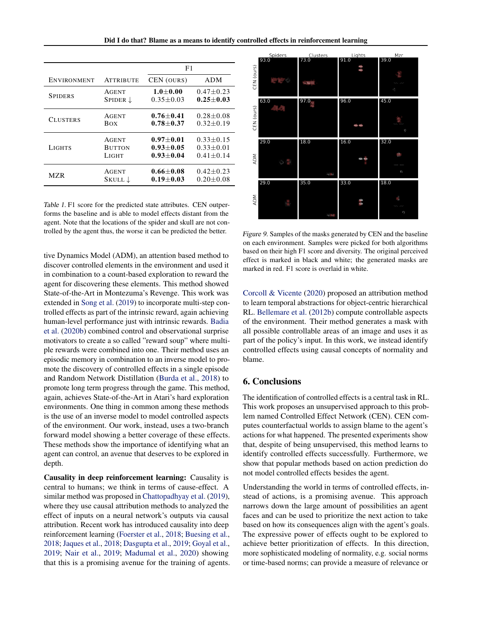Did I do that? Blame as a means to identify controlled effects in reinforcement learning

<span id="page-6-0"></span>

|                    |                     | F1            |                 |
|--------------------|---------------------|---------------|-----------------|
| <b>ENVIRONMENT</b> | <b>ATTRIBUTE</b>    | CEN (OURS)    | <b>ADM</b>      |
| <b>SPIDERS</b>     | <b>AGENT</b>        | $1.0 + 0.00$  | $0.47 + 0.23$   |
|                    | SPIDER $\downarrow$ | $0.35 + 0.03$ | $0.25 + 0.03$   |
| <b>CLUSTERS</b>    | <b>AGENT</b>        | $0.76 + 0.41$ | $0.28 + 0.08$   |
|                    | Box                 | $0.78 + 0.37$ | $0.32 \pm 0.19$ |
| <b>LIGHTS</b>      | <b>AGENT</b>        | $0.97 + 0.01$ | $0.33 + 0.15$   |
|                    | <b>BUTTON</b>       | $0.93 + 0.05$ | $0.33 + 0.01$   |
|                    | LIGHT               | $0.93 + 0.04$ | $0.41 + 0.14$   |
| MZR                | <b>AGENT</b>        | $0.66 + 0.08$ | $0.42 + 0.23$   |
|                    | Skull ↓             | $0.19 + 0.03$ | $0.20 \pm 0.08$ |

Table 1. F1 score for the predicted state attributes. CEN outperforms the baseline and is able to model effects distant from the agent. Note that the locations of the spider and skull are not controlled by the agent thus, the worse it can be predicted the better.

tive Dynamics Model (ADM), an attention based method to discover controlled elements in the environment and used it in combination to a count-based exploration to reward the agent for discovering these elements. This method showed State-of-the-Art in Montezuma's Revenge. This work was extended in [Song et al.](#page-9-0) [\(2019\)](#page-9-0) to incorporate multi-step controlled effects as part of the intrinsic reward, again achieving human-level performance just with intrinsic rewards. [Badia](#page-7-0) [et al.](#page-7-0) [\(2020b\)](#page-7-0) combined control and observational surprise motivators to create a so called "reward soup" where multiple rewards were combined into one. Their method uses an episodic memory in combination to an inverse model to promote the discovery of controlled effects in a single episode and Random Network Distillation [\(Burda et al.,](#page-7-0) [2018\)](#page-7-0) to promote long term progress through the game. This method, again, achieves State-of-the-Art in Atari's hard exploration environments. One thing in common among these methods is the use of an inverse model to model controlled aspects of the environment. Our work, instead, uses a two-branch forward model showing a better coverage of these effects. These methods show the importance of identifying what an agent can control, an avenue that deserves to be explored in depth.

Causality in deep reinforcement learning: Causality is central to humans; we think in terms of cause-effect. A similar method was proposed in [Chattopadhyay et al.](#page-7-0) [\(2019\)](#page-7-0), where they use causal attribution methods to analyzed the effect of inputs on a neural network's outputs via causal attribution. Recent work has introduced causality into deep reinforcement learning [\(Foerster et al.,](#page-7-0) [2018;](#page-7-0) [Buesing et al.,](#page-7-0) [2018;](#page-7-0) [Jaques et al.,](#page-8-0) [2018;](#page-8-0) [Dasgupta et al.,](#page-7-0) [2019;](#page-7-0) [Goyal et al.,](#page-8-0) [2019;](#page-8-0) [Nair et al.,](#page-8-0) [2019;](#page-8-0) [Madumal et al.,](#page-8-0) [2020\)](#page-8-0) showing that this is a promising avenue for the training of agents.



Figure 9. Samples of the masks generated by CEN and the baseline on each environment. Samples were picked for both algorithms based on their high F1 score and diversity. The original perceived effect is marked in black and white; the generated masks are marked in red. F1 score is overlaid in white.

[Corcoll & Vicente](#page-7-0) [\(2020\)](#page-7-0) proposed an attribution method to learn temporal abstractions for object-centric hierarchical RL. [Bellemare et al.](#page-7-0) [\(2012b\)](#page-7-0) compute controllable aspects of the environment. Their method generates a mask with all possible controllable areas of an image and uses it as part of the policy's input. In this work, we instead identify controlled effects using causal concepts of normality and blame.

# 6. Conclusions

The identification of controlled effects is a central task in RL. This work proposes an unsupervised approach to this problem named Controlled Effect Network (CEN). CEN computes counterfactual worlds to assign blame to the agent's actions for what happened. The presented experiments show that, despite of being unsupervised, this method learns to identify controlled effects successfully. Furthermore, we show that popular methods based on action prediction do not model controlled effects besides the agent.

Understanding the world in terms of controlled effects, instead of actions, is a promising avenue. This approach narrows down the large amount of possibilities an agent faces and can be used to prioritize the next action to take based on how its consequences align with the agent's goals. The expressive power of effects ought to be explored to achieve better prioritization of effects. In this direction, more sophisticated modeling of normality, e.g. social norms or time-based norms; can provide a measure of relevance or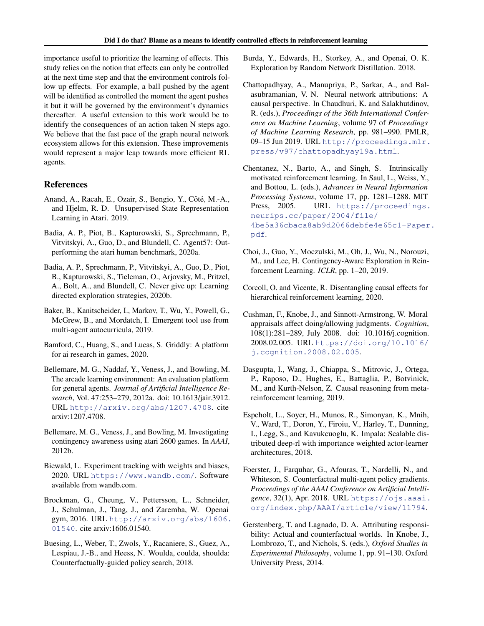<span id="page-7-0"></span>importance useful to prioritize the learning of effects. This study relies on the notion that effects can only be controlled at the next time step and that the environment controls follow up effects. For example, a ball pushed by the agent will be identified as controlled the moment the agent pushes it but it will be governed by the environment's dynamics thereafter. A useful extension to this work would be to identify the consequences of an action taken N steps ago. We believe that the fast pace of the graph neural network ecosystem allows for this extension. These improvements would represent a major leap towards more efficient RL agents.

# References

- Anand, A., Racah, E., Ozair, S., Bengio, Y., Côté, M.-A., and Hjelm, R. D. Unsupervised State Representation Learning in Atari. 2019.
- Badia, A. P., Piot, B., Kapturowski, S., Sprechmann, P., Vitvitskyi, A., Guo, D., and Blundell, C. Agent57: Outperforming the atari human benchmark, 2020a.
- Badia, A. P., Sprechmann, P., Vitvitskyi, A., Guo, D., Piot, B., Kapturowski, S., Tieleman, O., Arjovsky, M., Pritzel, A., Bolt, A., and Blundell, C. Never give up: Learning directed exploration strategies, 2020b.
- Baker, B., Kanitscheider, I., Markov, T., Wu, Y., Powell, G., McGrew, B., and Mordatch, I. Emergent tool use from multi-agent autocurricula, 2019.
- Bamford, C., Huang, S., and Lucas, S. Griddly: A platform for ai research in games, 2020.
- Bellemare, M. G., Naddaf, Y., Veness, J., and Bowling, M. The arcade learning environment: An evaluation platform for general agents. *Journal of Artificial Intelligence Research*, Vol. 47:253–279, 2012a. doi: 10.1613/jair.3912. URL <http://arxiv.org/abs/1207.4708>. cite arxiv:1207.4708.
- Bellemare, M. G., Veness, J., and Bowling, M. Investigating contingency awareness using atari 2600 games. In *AAAI*, 2012b.
- Biewald, L. Experiment tracking with weights and biases, 2020. URL <https://www.wandb.com/>. Software available from wandb.com.
- Brockman, G., Cheung, V., Pettersson, L., Schneider, J., Schulman, J., Tang, J., and Zaremba, W. Openai gym, 2016. URL [http://arxiv.org/abs/1606.](http://arxiv.org/abs/1606.01540) [01540](http://arxiv.org/abs/1606.01540). cite arxiv:1606.01540.
- Buesing, L., Weber, T., Zwols, Y., Racaniere, S., Guez, A., Lespiau, J.-B., and Heess, N. Woulda, coulda, shoulda: Counterfactually-guided policy search, 2018.
- Burda, Y., Edwards, H., Storkey, A., and Openai, O. K. Exploration by Random Network Distillation. 2018.
- Chattopadhyay, A., Manupriya, P., Sarkar, A., and Balasubramanian, V. N. Neural network attributions: A causal perspective. In Chaudhuri, K. and Salakhutdinov, R. (eds.), *Proceedings of the 36th International Conference on Machine Learning*, volume 97 of *Proceedings of Machine Learning Research*, pp. 981–990. PMLR, 09–15 Jun 2019. URL [http://proceedings.mlr.](http://proceedings.mlr.press/v97/chattopadhyay19a.html) [press/v97/chattopadhyay19a.html](http://proceedings.mlr.press/v97/chattopadhyay19a.html).
- Chentanez, N., Barto, A., and Singh, S. Intrinsically motivated reinforcement learning. In Saul, L., Weiss, Y., and Bottou, L. (eds.), *Advances in Neural Information Processing Systems*, volume 17, pp. 1281–1288. MIT Press, 2005. URL [https://proceedings.](https://proceedings.neurips.cc/paper/2004/file/4be5a36cbaca8ab9d2066debfe4e65c1-Paper.pdf) [neurips.cc/paper/2004/file/](https://proceedings.neurips.cc/paper/2004/file/4be5a36cbaca8ab9d2066debfe4e65c1-Paper.pdf) [4be5a36cbaca8ab9d2066debfe4e65c1-Paper](https://proceedings.neurips.cc/paper/2004/file/4be5a36cbaca8ab9d2066debfe4e65c1-Paper.pdf). [pdf](https://proceedings.neurips.cc/paper/2004/file/4be5a36cbaca8ab9d2066debfe4e65c1-Paper.pdf).
- Choi, J., Guo, Y., Moczulski, M., Oh, J., Wu, N., Norouzi, M., and Lee, H. Contingency-Aware Exploration in Reinforcement Learning. *ICLR*, pp. 1–20, 2019.
- Corcoll, O. and Vicente, R. Disentangling causal effects for hierarchical reinforcement learning, 2020.
- Cushman, F., Knobe, J., and Sinnott-Armstrong, W. Moral appraisals affect doing/allowing judgments. *Cognition*, 108(1):281–289, July 2008. doi: 10.1016/j.cognition. 2008.02.005. URL [https://doi.org/10.1016/](https://doi.org/10.1016/j.cognition.2008.02.005) [j.cognition.2008.02.005](https://doi.org/10.1016/j.cognition.2008.02.005).
- Dasgupta, I., Wang, J., Chiappa, S., Mitrovic, J., Ortega, P., Raposo, D., Hughes, E., Battaglia, P., Botvinick, M., and Kurth-Nelson, Z. Causal reasoning from metareinforcement learning, 2019.
- Espeholt, L., Soyer, H., Munos, R., Simonyan, K., Mnih, V., Ward, T., Doron, Y., Firoiu, V., Harley, T., Dunning, I., Legg, S., and Kavukcuoglu, K. Impala: Scalable distributed deep-rl with importance weighted actor-learner architectures, 2018.
- Foerster, J., Farquhar, G., Afouras, T., Nardelli, N., and Whiteson, S. Counterfactual multi-agent policy gradients. *Proceedings of the AAAI Conference on Artificial Intelligence*, 32(1), Apr. 2018. URL [https://ojs.aaai.](https://ojs.aaai.org/index.php/AAAI/article/view/11794) [org/index.php/AAAI/article/view/11794](https://ojs.aaai.org/index.php/AAAI/article/view/11794).
- Gerstenberg, T. and Lagnado, D. A. Attributing responsibility: Actual and counterfactual worlds. In Knobe, J., Lombrozo, T., and Nichols, S. (eds.), *Oxford Studies in Experimental Philosophy*, volume 1, pp. 91–130. Oxford University Press, 2014.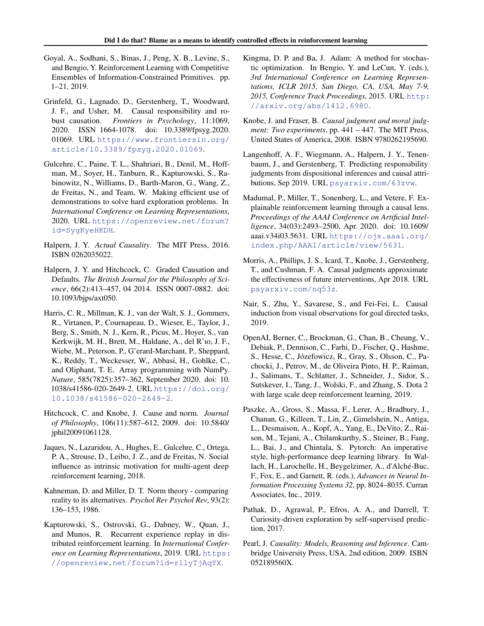- <span id="page-8-0"></span>Goyal, A., Sodhani, S., Binas, J., Peng, X. B., Levine, S., and Bengio, Y. Reinforcement Learning with Competitive Ensembles of Information-Constrained Primitives. pp. 1–21, 2019.
- Grinfeld, G., Lagnado, D., Gerstenberg, T., Woodward, J. F., and Usher, M. Causal responsibility and robust causation. *Frontiers in Psychology*, 11:1069, 2020. ISSN 1664-1078. doi: 10.3389/fpsyg.2020. 01069. URL [https://www.frontiersin.org/](https://www.frontiersin.org/article/10.3389/fpsyg.2020.01069) [article/10.3389/fpsyg.2020.01069](https://www.frontiersin.org/article/10.3389/fpsyg.2020.01069).
- Gulcehre, C., Paine, T. L., Shahriari, B., Denil, M., Hoffman, M., Soyer, H., Tanburn, R., Kapturowski, S., Rabinowitz, N., Williams, D., Barth-Maron, G., Wang, Z., de Freitas, N., and Team, W. Making efficient use of demonstrations to solve hard exploration problems. In *International Conference on Learning Representations*, 2020. URL [https://openreview.net/forum?](https://openreview.net/forum?id=SygKyeHKDH) [id=SygKyeHKDH](https://openreview.net/forum?id=SygKyeHKDH).
- Halpern, J. Y. *Actual Causality*. The MIT Press, 2016. ISBN 0262035022.
- Halpern, J. Y. and Hitchcock, C. Graded Causation and Defaults. *The British Journal for the Philosophy of Science*, 66(2):413–457, 04 2014. ISSN 0007-0882. doi: 10.1093/bjps/axt050.
- Harris, C. R., Millman, K. J., van der Walt, S. J., Gommers, R., Virtanen, P., Cournapeau, D., Wieser, E., Taylor, J., Berg, S., Smith, N. J., Kern, R., Picus, M., Hoyer, S., van Kerkwijk, M. H., Brett, M., Haldane, A., del R'ıo, J. F., Wiebe, M., Peterson, P., G'erard-Marchant, P., Sheppard, K., Reddy, T., Weckesser, W., Abbasi, H., Gohlke, C., and Oliphant, T. E. Array programming with NumPy. *Nature*, 585(7825):357–362, September 2020. doi: 10. 1038/s41586-020-2649-2. URL [https://doi.org/](https://doi.org/10.1038/s41586-020-2649-2) [10.1038/s41586-020-2649-2](https://doi.org/10.1038/s41586-020-2649-2).
- Hitchcock, C. and Knobe, J. Cause and norm. *Journal of Philosophy*, 106(11):587–612, 2009. doi: 10.5840/ jphil20091061128.
- Jaques, N., Lazaridou, A., Hughes, E., Gulcehre, C., Ortega, P. A., Strouse, D., Leibo, J. Z., and de Freitas, N. Social influence as intrinsic motivation for multi-agent deep reinforcement learning, 2018.
- Kahneman, D. and Miller, D. T. Norm theory comparing reality to its alternatives. *Psychol Rev Psychol Rev*, 93(2): 136–153, 1986.
- Kapturowski, S., Ostrovski, G., Dabney, W., Quan, J., and Munos, R. Recurrent experience replay in distributed reinforcement learning. In *International Conference on Learning Representations*, 2019. URL [https:](https://openreview.net/forum?id=r1lyTjAqYX) [//openreview.net/forum?id=r1lyTjAqYX](https://openreview.net/forum?id=r1lyTjAqYX).
- Kingma, D. P. and Ba, J. Adam: A method for stochastic optimization. In Bengio, Y. and LeCun, Y. (eds.), *3rd International Conference on Learning Representations, ICLR 2015, San Diego, CA, USA, May 7-9, 2015, Conference Track Proceedings*, 2015. URL [http:](http://arxiv.org/abs/1412.6980) [//arxiv.org/abs/1412.6980](http://arxiv.org/abs/1412.6980).
- Knobe, J. and Fraser, B. *Causal judgment and moral judgment: Two experiments*, pp. 441 – 447. The MIT Press, United States of America, 2008. ISBN 9780262195690.
- Langenhoff, A. F., Wiegmann, A., Halpern, J. Y., Tenenbaum, J., and Gerstenberg, T. Predicting responsibility judgments from dispositional inferences and causal attributions, Sep 2019. URL <psyarxiv.com/63zvw>.
- Madumal, P., Miller, T., Sonenberg, L., and Vetere, F. Explainable reinforcement learning through a causal lens. *Proceedings of the AAAI Conference on Artificial Intelligence*, 34(03):2493–2500, Apr. 2020. doi: 10.1609/ aaai.v34i03.5631. URL [https://ojs.aaai.org/](https://ojs.aaai.org/index.php/AAAI/article/view/5631) [index.php/AAAI/article/view/5631](https://ojs.aaai.org/index.php/AAAI/article/view/5631).
- Morris, A., Phillips, J. S., Icard, T., Knobe, J., Gerstenberg, T., and Cushman, F. A. Causal judgments approximate the effectiveness of future interventions, Apr 2018. URL <psyarxiv.com/nq53z>.
- Nair, S., Zhu, Y., Savarese, S., and Fei-Fei, L. Causal induction from visual observations for goal directed tasks, 2019.
- OpenAI, Berner, C., Brockman, G., Chan, B., Cheung, V., Debiak, P., Dennison, C., Farhi, D., Fischer, Q., Hashme, S., Hesse, C., Józefowicz, R., Gray, S., Olsson, C., Pachocki, J., Petrov, M., de Oliveira Pinto, H. P., Raiman, J., Salimans, T., Schlatter, J., Schneider, J., Sidor, S., Sutskever, I., Tang, J., Wolski, F., and Zhang, S. Dota 2 with large scale deep reinforcement learning, 2019.
- Paszke, A., Gross, S., Massa, F., Lerer, A., Bradbury, J., Chanan, G., Killeen, T., Lin, Z., Gimelshein, N., Antiga, L., Desmaison, A., Kopf, A., Yang, E., DeVito, Z., Raison, M., Tejani, A., Chilamkurthy, S., Steiner, B., Fang, L., Bai, J., and Chintala, S. Pytorch: An imperative style, high-performance deep learning library. In Wallach, H., Larochelle, H., Beygelzimer, A., d'Alché-Buc, F., Fox, E., and Garnett, R. (eds.), *Advances in Neural Information Processing Systems 32*, pp. 8024–8035. Curran Associates, Inc., 2019.
- Pathak, D., Agrawal, P., Efros, A. A., and Darrell, T. Curiosity-driven exploration by self-supervised prediction, 2017.
- Pearl, J. *Causality: Models, Reasoning and Inference*. Cambridge University Press, USA, 2nd edition, 2009. ISBN 052189560X.